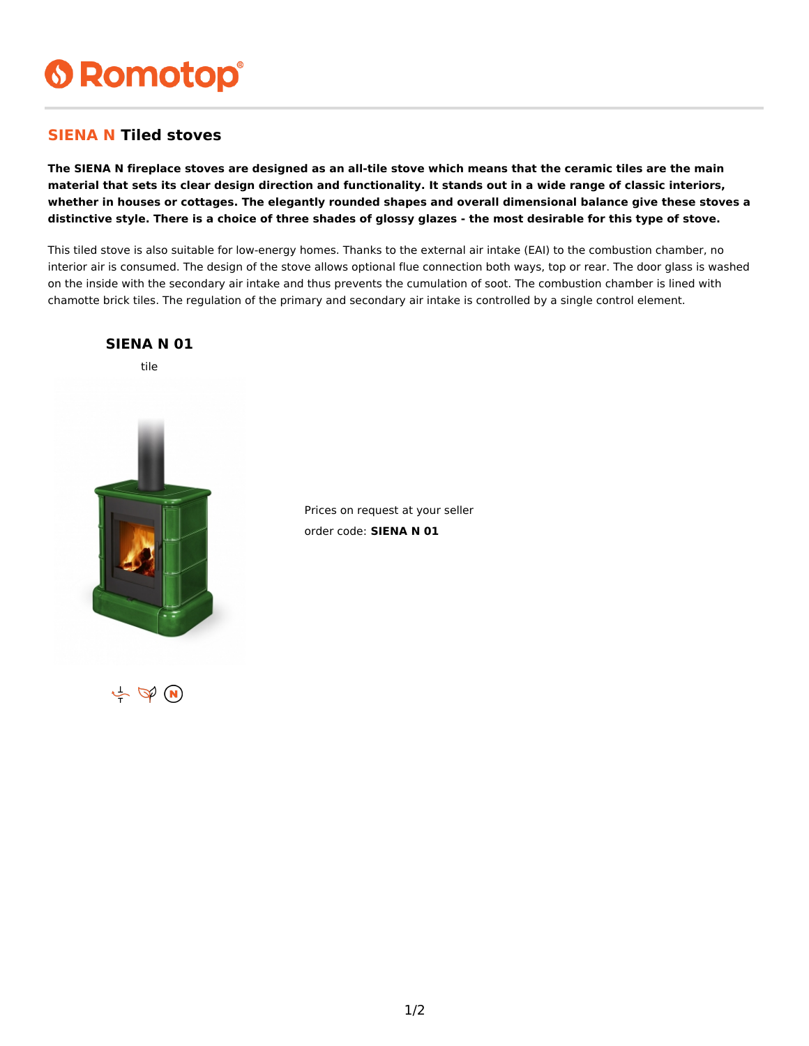# **6 Romotop®**

### **SIENA N Tiled stoves**

**The SIENA N fireplace stoves are designed as an all-tile stove which means that the ceramic tiles are the main material that sets its clear design direction and functionality. It stands out in a wide range of classic interiors, whether in houses or cottages. The elegantly rounded shapes and overall dimensional balance give these stoves a distinctive style. There is a choice of three shades of glossy glazes - the most desirable for this type of stove.**

This tiled stove is also suitable for low-energy homes. Thanks to the external air intake (EAI) to the combustion chamber, no interior air is consumed. The design of the stove allows optional flue connection both ways, top or rear. The door glass is washed on the inside with the secondary air intake and thus prevents the cumulation of soot. The combustion chamber is lined with chamotte brick tiles. The regulation of the primary and secondary air intake is controlled by a single control element.



Prices on request at your seller order code: **SIENA N 01**